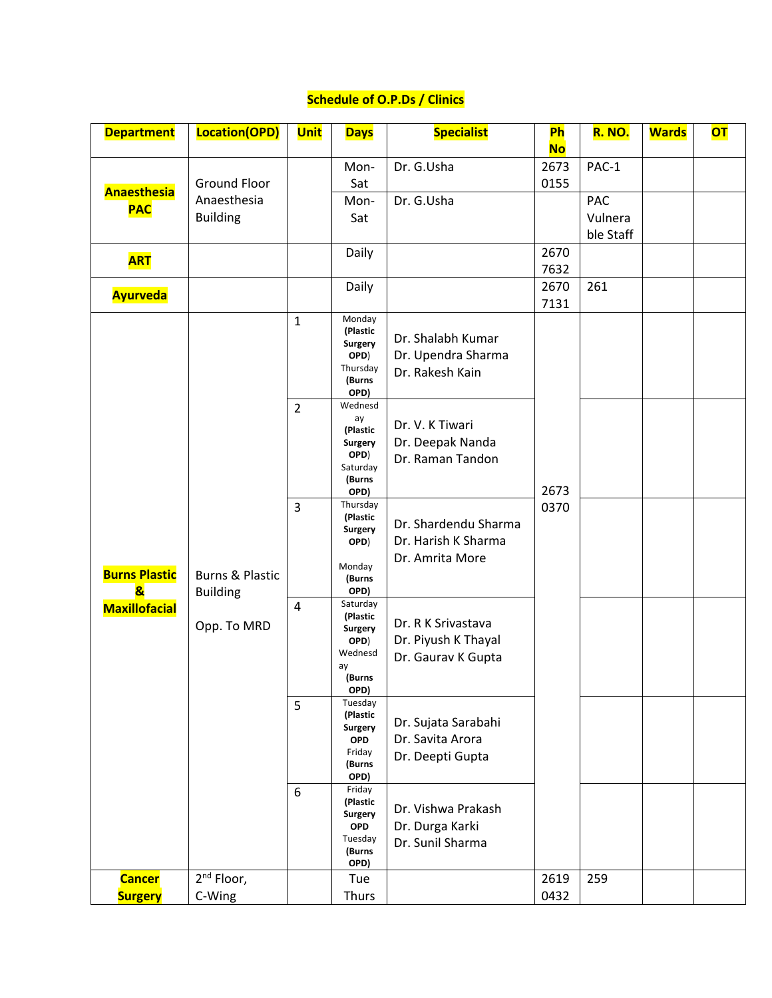## **Schedule of O.P.Ds / Clinics**

| <b>Department</b>                               | Location(OPD)                                         | <b>Unit</b>    | <b>Days</b>                                                                     | <b>Specialist</b>                                               | Ph<br><b>No</b> | <b>R. NO.</b>           | <b>Wards</b> | <b>OT</b> |
|-------------------------------------------------|-------------------------------------------------------|----------------|---------------------------------------------------------------------------------|-----------------------------------------------------------------|-----------------|-------------------------|--------------|-----------|
| <b>Anaesthesia</b><br><b>PAC</b>                | <b>Ground Floor</b><br>Anaesthesia<br><b>Building</b> |                | Mon-<br>Sat<br>Mon-<br>Sat                                                      | Dr. G.Usha<br>Dr. G.Usha                                        | 2673<br>0155    | PAC-1<br>PAC<br>Vulnera |              |           |
| <b>ART</b>                                      |                                                       |                | Daily                                                                           |                                                                 | 2670<br>7632    | ble Staff               |              |           |
| <b>Ayurveda</b>                                 |                                                       |                | Daily                                                                           |                                                                 | 2670<br>7131    | 261                     |              |           |
|                                                 |                                                       | $\mathbf{1}$   | Monday<br>(Plastic<br><b>Surgery</b><br>OPD)<br>Thursday<br>(Burns<br>OPD)      | Dr. Shalabh Kumar<br>Dr. Upendra Sharma<br>Dr. Rakesh Kain      |                 |                         |              |           |
|                                                 |                                                       | $\overline{2}$ | Wednesd<br>ay<br>(Plastic<br>Surgery<br>OPD)<br>Saturday<br>(Burns<br>OPD)      | Dr. V. K Tiwari<br>Dr. Deepak Nanda<br>Dr. Raman Tandon         | 2673            |                         |              |           |
| <b>Burns Plastic</b><br>$\overline{\mathbf{z}}$ | <b>Burns &amp; Plastic</b><br><b>Building</b>         | 3              | Thursday<br>(Plastic<br><b>Surgery</b><br>OPD)<br>Monday<br>(Burns<br>OPD)      | Dr. Shardendu Sharma<br>Dr. Harish K Sharma<br>Dr. Amrita More  | 0370            |                         |              |           |
| <b>Maxillofacial</b>                            | Opp. To MRD                                           | 4              | Saturday<br>(Plastic<br>Surgery<br>OPD)<br>Wednesd<br>ay<br>(Burns<br>OPD)      | Dr. R K Srivastava<br>Dr. Piyush K Thayal<br>Dr. Gaurav K Gupta |                 |                         |              |           |
|                                                 |                                                       | 5              | Tuesday<br>(Plastic<br><b>Surgery</b><br><b>OPD</b><br>Friday<br>(Burns<br>OPD) | Dr. Sujata Sarabahi<br>Dr. Savita Arora<br>Dr. Deepti Gupta     |                 |                         |              |           |
|                                                 |                                                       | 6              | Friday<br>(Plastic<br>Surgery<br><b>OPD</b><br>Tuesday<br>(Burns<br>OPD)        | Dr. Vishwa Prakash<br>Dr. Durga Karki<br>Dr. Sunil Sharma       |                 |                         |              |           |
| <b>Cancer</b><br><b>Surgery</b>                 | 2 <sup>nd</sup> Floor,<br>C-Wing                      |                | Tue<br>Thurs                                                                    |                                                                 | 2619<br>0432    | 259                     |              |           |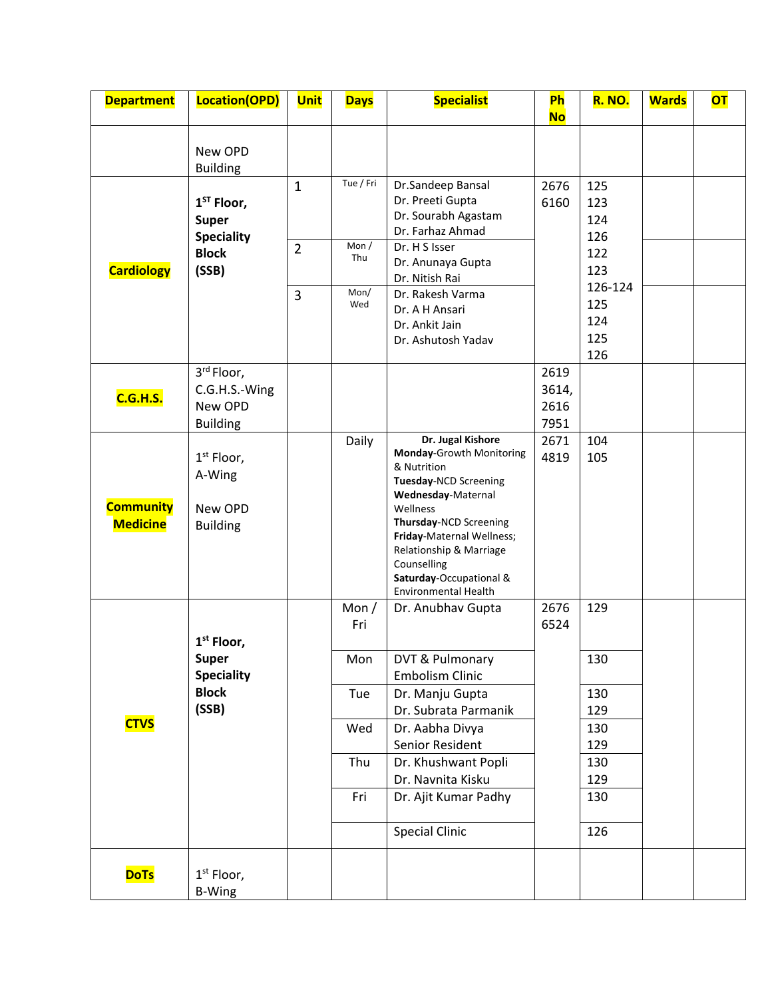| <b>Department</b>                   | Location(OPD)                                             | <b>Unit</b>    | <b>Days</b>           | <b>Specialist</b>                                                                                                                                                                                                                                                                  | <b>Ph</b><br><b>No</b>        | <b>R. NO.</b>            | <b>Wards</b> | <b>OT</b> |
|-------------------------------------|-----------------------------------------------------------|----------------|-----------------------|------------------------------------------------------------------------------------------------------------------------------------------------------------------------------------------------------------------------------------------------------------------------------------|-------------------------------|--------------------------|--------------|-----------|
|                                     | New OPD<br><b>Building</b>                                |                |                       |                                                                                                                                                                                                                                                                                    |                               |                          |              |           |
|                                     | $1ST$ Floor,<br><b>Super</b><br><b>Speciality</b>         | $\mathbf{1}$   | Tue / Fri             | Dr.Sandeep Bansal<br>Dr. Preeti Gupta<br>Dr. Sourabh Agastam<br>Dr. Farhaz Ahmad                                                                                                                                                                                                   | 2676<br>6160                  | 125<br>123<br>124<br>126 |              |           |
| <b>Cardiology</b>                   | <b>Block</b><br>(SSB)                                     | $\overline{2}$ | Mon /<br>Thu<br>Mon/  | Dr. H S Isser<br>Dr. Anunaya Gupta<br>Dr. Nitish Rai                                                                                                                                                                                                                               |                               | 122<br>123<br>126-124    |              |           |
|                                     |                                                           | 3              | Wed                   | Dr. Rakesh Varma<br>Dr. A H Ansari<br>Dr. Ankit Jain<br>Dr. Ashutosh Yadav                                                                                                                                                                                                         |                               | 125<br>124<br>125<br>126 |              |           |
| <b>C.G.H.S.</b>                     | 3rd Floor,<br>C.G.H.S.-Wing<br>New OPD<br><b>Building</b> |                |                       |                                                                                                                                                                                                                                                                                    | 2619<br>3614,<br>2616<br>7951 |                          |              |           |
| <b>Community</b><br><b>Medicine</b> | $1st$ Floor,<br>A-Wing<br>New OPD<br><b>Building</b>      |                | Daily                 | Dr. Jugal Kishore<br>Monday-Growth Monitoring<br>& Nutrition<br>Tuesday-NCD Screening<br>Wednesday-Maternal<br>Wellness<br>Thursday-NCD Screening<br>Friday-Maternal Wellness;<br>Relationship & Marriage<br>Counselling<br>Saturday-Occupational &<br><b>Environmental Health</b> | 2671<br>4819                  | 104<br>105               |              |           |
|                                     | 1 <sup>st</sup> Floor,<br><b>Super</b>                    |                | Mon $/$<br>Fri<br>Mon | Dr. Anubhav Gupta<br>DVT & Pulmonary                                                                                                                                                                                                                                               | 2676<br>6524                  | 129<br>130               |              |           |
|                                     | <b>Speciality</b><br><b>Block</b><br>(SSB)                |                | Tue                   | <b>Embolism Clinic</b><br>Dr. Manju Gupta<br>Dr. Subrata Parmanik                                                                                                                                                                                                                  |                               | 130<br>129               |              |           |
| <b>CTVS</b>                         |                                                           |                | Wed<br>Thu            | Dr. Aabha Divya<br>Senior Resident<br>Dr. Khushwant Popli                                                                                                                                                                                                                          |                               | 130<br>129<br>130        |              |           |
|                                     |                                                           |                | Fri                   | Dr. Navnita Kisku<br>Dr. Ajit Kumar Padhy<br><b>Special Clinic</b>                                                                                                                                                                                                                 |                               | 129<br>130<br>126        |              |           |
| <b>DoTs</b>                         | $1st$ Floor,<br><b>B-Wing</b>                             |                |                       |                                                                                                                                                                                                                                                                                    |                               |                          |              |           |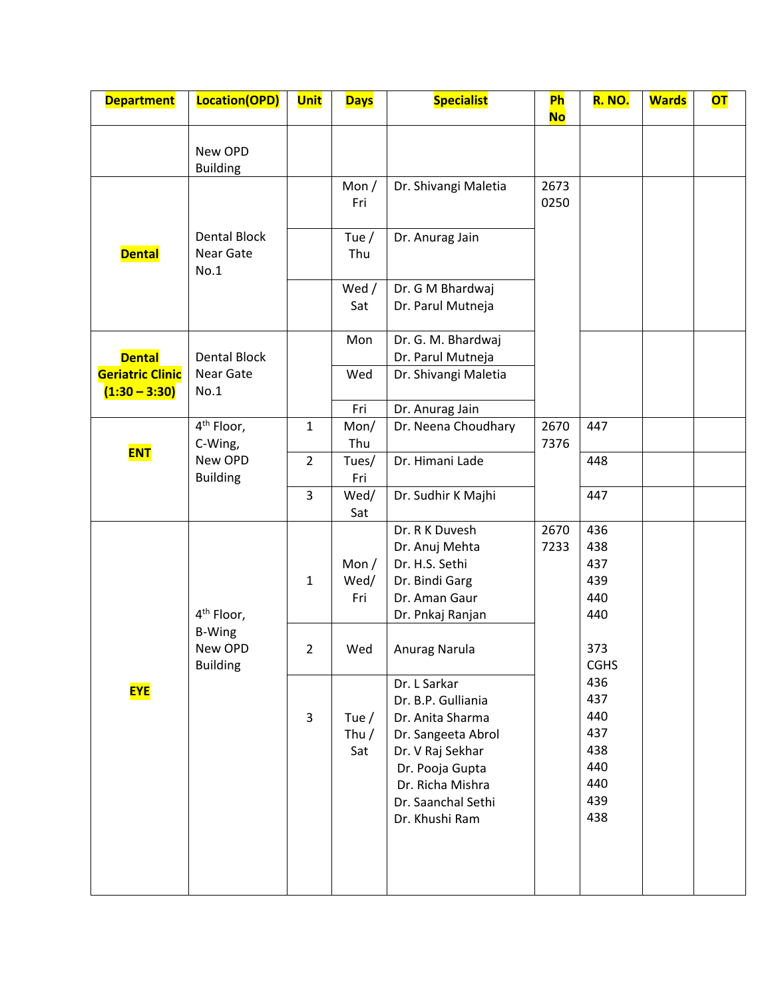| <b>Department</b>     | Location(OPD)                                                          | <b>Unit</b>    | <b>Days</b>               | <b>Specialist</b>                                                                                                                                                               | Ph<br><b>No</b> | <b>R. NO.</b>                                               | <b>Wards</b> | <b>OT</b> |
|-----------------------|------------------------------------------------------------------------|----------------|---------------------------|---------------------------------------------------------------------------------------------------------------------------------------------------------------------------------|-----------------|-------------------------------------------------------------|--------------|-----------|
|                       | New OPD<br><b>Building</b>                                             |                |                           |                                                                                                                                                                                 |                 |                                                             |              |           |
|                       |                                                                        |                | Mon $/$<br>Fri            | Dr. Shivangi Maletia                                                                                                                                                            | 2673<br>0250    |                                                             |              |           |
| <b>Dental</b>         | <b>Dental Block</b><br>Near Gate<br>No.1                               |                | Tue $/$<br>Thu            | Dr. Anurag Jain                                                                                                                                                                 |                 |                                                             |              |           |
|                       |                                                                        |                | Wed /<br>Sat              | Dr. G M Bhardwaj<br>Dr. Parul Mutneja                                                                                                                                           |                 |                                                             |              |           |
| <b>Dental</b>         | <b>Dental Block</b>                                                    |                | Mon<br>Wed                | Dr. G. M. Bhardwaj<br>Dr. Parul Mutneja<br>Dr. Shivangi Maletia                                                                                                                 |                 |                                                             |              |           |
| $(1:30 - 3:30)$       | Near Gate<br><b>Geriatric Clinic</b><br>No.1<br>4 <sup>th</sup> Floor, |                | Fri                       | Dr. Anurag Jain                                                                                                                                                                 |                 |                                                             |              |           |
| C-Wing,<br><b>ENT</b> |                                                                        | $\mathbf{1}$   | Mon/<br>Thu               | Dr. Neena Choudhary                                                                                                                                                             | 2670<br>7376    | 447                                                         |              |           |
|                       | New OPD<br><b>Building</b>                                             | $\overline{2}$ | Tues/<br>Fri              | Dr. Himani Lade                                                                                                                                                                 |                 | 448                                                         |              |           |
|                       |                                                                        | 3              | Wed/<br>Sat               | Dr. Sudhir K Majhi                                                                                                                                                              |                 | 447                                                         |              |           |
|                       | 4 <sup>th</sup> Floor,                                                 | $\mathbf{1}$   | Mon $/$<br>Wed/<br>Fri    | Dr. R K Duvesh<br>Dr. Anuj Mehta<br>Dr. H.S. Sethi<br>Dr. Bindi Garg<br>Dr. Aman Gaur<br>Dr. Pnkaj Ranjan                                                                       | 2670<br>7233    | 436<br>438<br>437<br>439<br>440<br>440                      |              |           |
|                       | <b>B-Wing</b><br>New OPD<br><b>Building</b>                            | $\overline{2}$ | Wed                       | Anurag Narula                                                                                                                                                                   |                 | 373<br><b>CGHS</b>                                          |              |           |
| <b>EYE</b>            |                                                                        | 3              | Tue $/$<br>Thu $/$<br>Sat | Dr. L Sarkar<br>Dr. B.P. Gulliania<br>Dr. Anita Sharma<br>Dr. Sangeeta Abrol<br>Dr. V Raj Sekhar<br>Dr. Pooja Gupta<br>Dr. Richa Mishra<br>Dr. Saanchal Sethi<br>Dr. Khushi Ram |                 | 436<br>437<br>440<br>437<br>438<br>440<br>440<br>439<br>438 |              |           |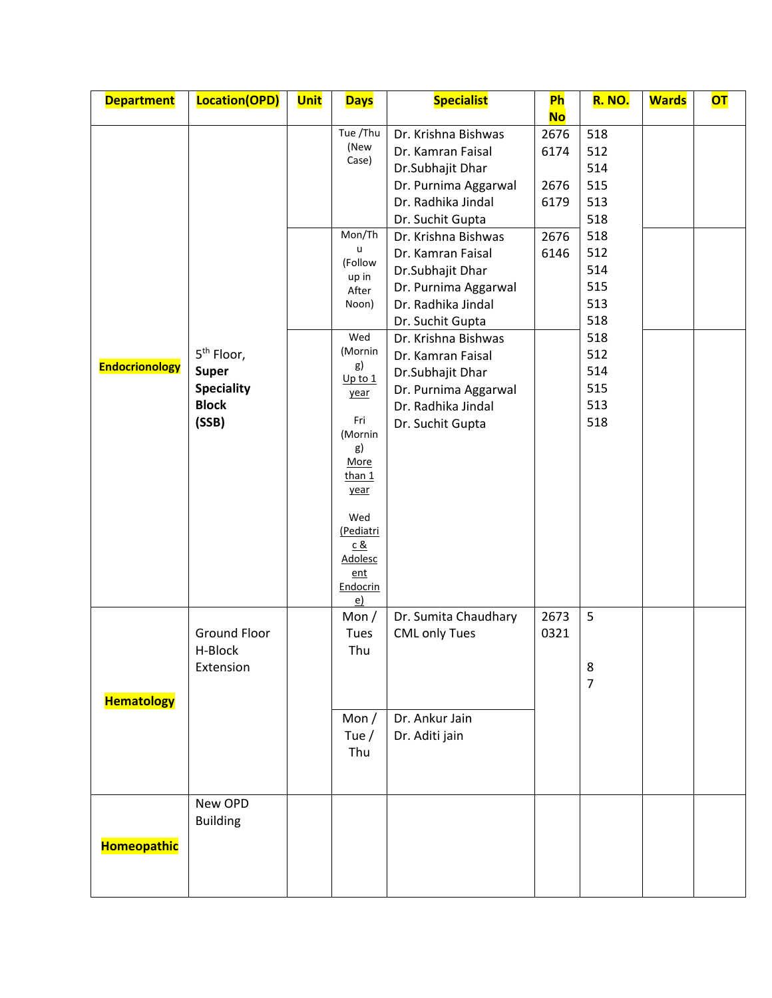| <b>Department</b>     | <b>Location(OPD)</b>                                                                 | <b>Unit</b> | <b>Days</b>                                                                                                                                                                                                                                           | <b>Specialist</b>                                                                                                                                                                                                                                                                                                                                                                                  | Ph                                                        | <b>R. NO.</b>                                                                                                              | <b>Wards</b> | <b>OT</b> |
|-----------------------|--------------------------------------------------------------------------------------|-------------|-------------------------------------------------------------------------------------------------------------------------------------------------------------------------------------------------------------------------------------------------------|----------------------------------------------------------------------------------------------------------------------------------------------------------------------------------------------------------------------------------------------------------------------------------------------------------------------------------------------------------------------------------------------------|-----------------------------------------------------------|----------------------------------------------------------------------------------------------------------------------------|--------------|-----------|
| <b>Endocrionology</b> | 5 <sup>th</sup> Floor,<br><b>Super</b><br><b>Speciality</b><br><b>Block</b><br>(SSB) |             | Tue /Thu<br>(New<br>Case)<br>Mon/Th<br>u<br>(Follow<br>up in<br>After<br>Noon)<br>Wed<br>(Mornin<br>g)<br>Up to 1<br>year<br>Fri<br>(Mornin<br>g)<br>More<br>than 1<br>year<br>Wed<br>(Pediatri<br><u>c &amp;</u><br>Adolesc<br>ent<br>Endocrin<br>e) | Dr. Krishna Bishwas<br>Dr. Kamran Faisal<br>Dr.Subhajit Dhar<br>Dr. Purnima Aggarwal<br>Dr. Radhika Jindal<br>Dr. Suchit Gupta<br>Dr. Krishna Bishwas<br>Dr. Kamran Faisal<br>Dr.Subhajit Dhar<br>Dr. Purnima Aggarwal<br>Dr. Radhika Jindal<br>Dr. Suchit Gupta<br>Dr. Krishna Bishwas<br>Dr. Kamran Faisal<br>Dr.Subhajit Dhar<br>Dr. Purnima Aggarwal<br>Dr. Radhika Jindal<br>Dr. Suchit Gupta | <b>No</b><br>2676<br>6174<br>2676<br>6179<br>2676<br>6146 | 518<br>512<br>514<br>515<br>513<br>518<br>518<br>512<br>514<br>515<br>513<br>518<br>518<br>512<br>514<br>515<br>513<br>518 |              |           |
| <b>Hematology</b>     | <b>Ground Floor</b><br>H-Block<br>Extension                                          |             | Mon $/$<br>Tues<br>Thu<br>Mon $/$<br>Tue $/$<br>Thu                                                                                                                                                                                                   | Dr. Sumita Chaudhary<br><b>CML only Tues</b><br>Dr. Ankur Jain<br>Dr. Aditi jain                                                                                                                                                                                                                                                                                                                   | 2673<br>0321                                              | 5<br>8<br>$\overline{7}$                                                                                                   |              |           |
| Homeopathic           | New OPD<br><b>Building</b>                                                           |             |                                                                                                                                                                                                                                                       |                                                                                                                                                                                                                                                                                                                                                                                                    |                                                           |                                                                                                                            |              |           |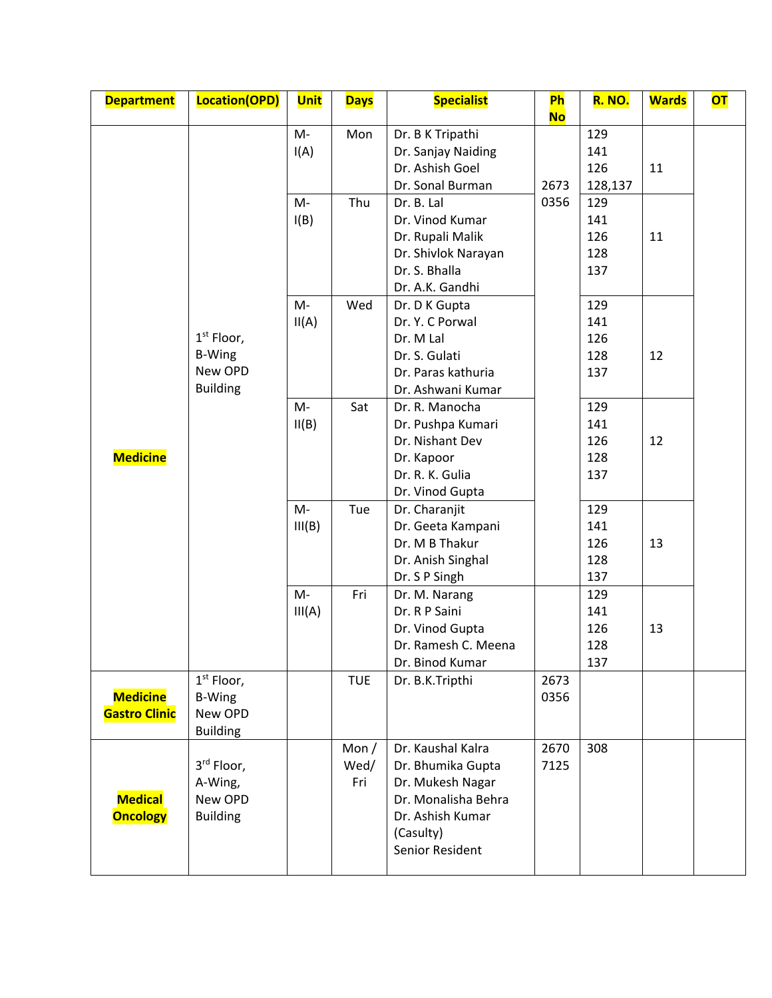| <b>Department</b>                       | Location(OPD)                                               | <b>Unit</b>  | <b>Days</b>            | <b>Specialist</b>                                                                                                                     | <b>Ph</b><br><b>No</b> | <b>R. NO.</b>                   | <b>Wards</b> | <b>OT</b> |
|-----------------------------------------|-------------------------------------------------------------|--------------|------------------------|---------------------------------------------------------------------------------------------------------------------------------------|------------------------|---------------------------------|--------------|-----------|
|                                         |                                                             | M-<br>I(A)   | Mon                    | Dr. B K Tripathi<br>Dr. Sanjay Naiding<br>Dr. Ashish Goel<br>Dr. Sonal Burman                                                         | 2673                   | 129<br>141<br>126<br>128,137    | 11           |           |
|                                         |                                                             | M-<br>I(B)   | Thu                    | Dr. B. Lal<br>Dr. Vinod Kumar<br>Dr. Rupali Malik<br>Dr. Shivlok Narayan<br>Dr. S. Bhalla<br>Dr. A.K. Gandhi                          | 0356                   | 129<br>141<br>126<br>128<br>137 | 11           |           |
| <b>Medicine</b>                         | $1st$ Floor,<br><b>B-Wing</b><br>New OPD<br><b>Building</b> | M-<br>II(A)  | Wed                    | Dr. D K Gupta<br>Dr. Y. C Porwal<br>Dr. M Lal<br>Dr. S. Gulati<br>Dr. Paras kathuria<br>Dr. Ashwani Kumar                             |                        | 129<br>141<br>126<br>128<br>137 | 12           |           |
|                                         |                                                             | M-<br>II(B)  | Sat                    | Dr. R. Manocha<br>Dr. Pushpa Kumari<br>Dr. Nishant Dev<br>Dr. Kapoor<br>Dr. R. K. Gulia<br>Dr. Vinod Gupta                            |                        | 129<br>141<br>126<br>128<br>137 | 12           |           |
|                                         |                                                             | M-<br>III(B) | Tue                    | Dr. Charanjit<br>Dr. Geeta Kampani<br>Dr. M B Thakur<br>Dr. Anish Singhal<br>Dr. S P Singh                                            |                        | 129<br>141<br>126<br>128<br>137 | 13           |           |
|                                         |                                                             | M-<br>III(A) | Fri                    | Dr. M. Narang<br>Dr. R P Saini<br>Dr. Vinod Gupta<br>Dr. Ramesh C. Meena<br>Dr. Binod Kumar                                           |                        | 129<br>141<br>126<br>128<br>137 | 13           |           |
| <b>Medicine</b><br><b>Gastro Clinic</b> | $1st$ Floor,<br><b>B-Wing</b><br>New OPD<br><b>Building</b> |              | <b>TUE</b>             | Dr. B.K.Tripthi                                                                                                                       | 2673<br>0356           |                                 |              |           |
| <b>Medical</b><br><b>Oncology</b>       | 3rd Floor,<br>A-Wing,<br>New OPD<br><b>Building</b>         |              | Mon $/$<br>Wed/<br>Fri | Dr. Kaushal Kalra<br>Dr. Bhumika Gupta<br>Dr. Mukesh Nagar<br>Dr. Monalisha Behra<br>Dr. Ashish Kumar<br>(Casulty)<br>Senior Resident | 2670<br>7125           | 308                             |              |           |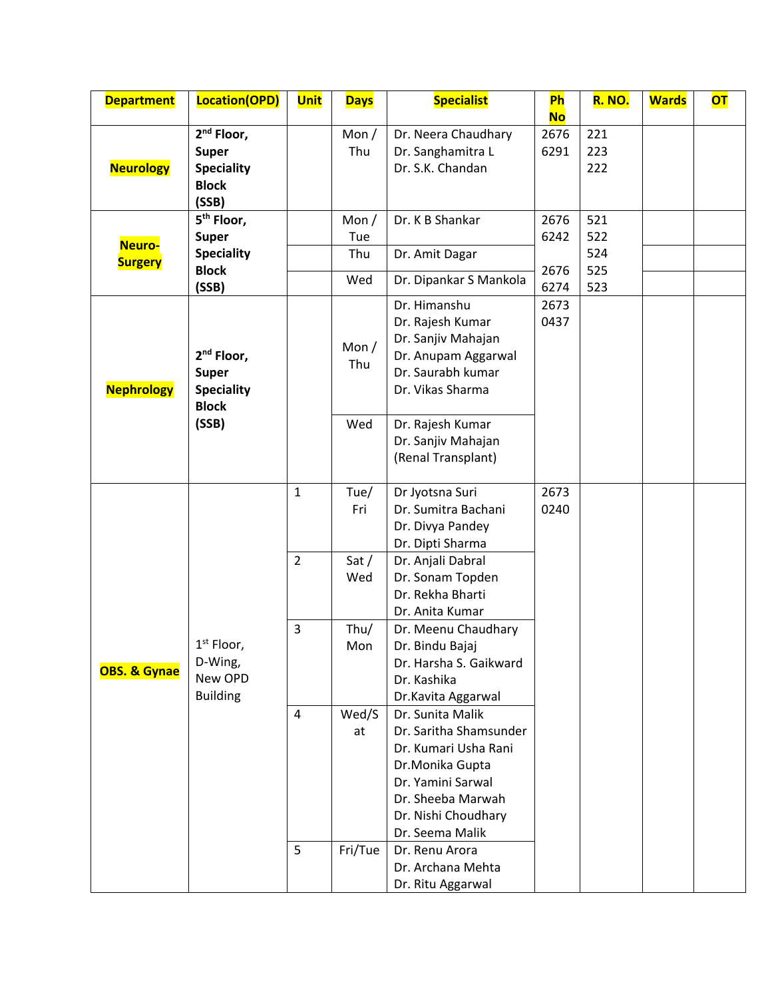| <b>Department</b>       | Location(OPD)          | <b>Unit</b>    | <b>Days</b> | <b>Specialist</b>      | <b>Ph</b> | <b>R. NO.</b> | <b>Wards</b> | <b>OT</b> |
|-------------------------|------------------------|----------------|-------------|------------------------|-----------|---------------|--------------|-----------|
|                         |                        |                |             |                        | <b>No</b> |               |              |           |
|                         | $2nd$ Floor,           |                | Mon $/$     | Dr. Neera Chaudhary    | 2676      | 221           |              |           |
|                         | <b>Super</b>           |                | Thu         | Dr. Sanghamitra L      | 6291      | 223           |              |           |
| <b>Neurology</b>        | <b>Speciality</b>      |                |             | Dr. S.K. Chandan       |           | 222           |              |           |
|                         | <b>Block</b>           |                |             |                        |           |               |              |           |
|                         | (SSB)                  |                |             |                        |           |               |              |           |
|                         | 5 <sup>th</sup> Floor, |                | Mon $/$     | Dr. K B Shankar        | 2676      | 521           |              |           |
| Neuro-                  | <b>Super</b>           |                | Tue         |                        | 6242      | 522           |              |           |
| <b>Surgery</b>          | <b>Speciality</b>      |                | Thu         | Dr. Amit Dagar         |           | 524           |              |           |
|                         | <b>Block</b>           |                | Wed         | Dr. Dipankar S Mankola | 2676      | 525           |              |           |
|                         | (SSB)                  |                |             |                        | 6274      | 523           |              |           |
|                         |                        |                |             | Dr. Himanshu           | 2673      |               |              |           |
|                         |                        |                |             | Dr. Rajesh Kumar       | 0437      |               |              |           |
|                         |                        |                | Mon $/$     | Dr. Sanjiv Mahajan     |           |               |              |           |
|                         | 2 <sup>nd</sup> Floor, |                | Thu         | Dr. Anupam Aggarwal    |           |               |              |           |
|                         | <b>Super</b>           |                |             | Dr. Saurabh kumar      |           |               |              |           |
| <b>Nephrology</b>       | <b>Speciality</b>      |                |             | Dr. Vikas Sharma       |           |               |              |           |
|                         | <b>Block</b>           |                |             |                        |           |               |              |           |
|                         | (SSB)                  |                | Wed         | Dr. Rajesh Kumar       |           |               |              |           |
|                         |                        |                |             | Dr. Sanjiv Mahajan     |           |               |              |           |
|                         |                        |                |             | (Renal Transplant)     |           |               |              |           |
|                         |                        |                |             |                        |           |               |              |           |
|                         |                        | $\mathbf{1}$   | Tue/        | Dr Jyotsna Suri        | 2673      |               |              |           |
|                         |                        |                | Fri         | Dr. Sumitra Bachani    | 0240      |               |              |           |
|                         |                        |                |             | Dr. Divya Pandey       |           |               |              |           |
|                         |                        |                |             | Dr. Dipti Sharma       |           |               |              |           |
|                         |                        | $\overline{2}$ | Sat $/$     | Dr. Anjali Dabral      |           |               |              |           |
|                         |                        |                | Wed         | Dr. Sonam Topden       |           |               |              |           |
|                         |                        |                |             | Dr. Rekha Bharti       |           |               |              |           |
|                         |                        |                |             | Dr. Anita Kumar        |           |               |              |           |
|                         |                        | 3              | Thu/        | Dr. Meenu Chaudhary    |           |               |              |           |
|                         | $1st$ Floor,           |                | Mon         | Dr. Bindu Bajaj        |           |               |              |           |
| <b>OBS. &amp; Gynae</b> | D-Wing,<br>New OPD     |                |             | Dr. Harsha S. Gaikward |           |               |              |           |
|                         | <b>Building</b>        |                |             | Dr. Kashika            |           |               |              |           |
|                         |                        |                |             | Dr.Kavita Aggarwal     |           |               |              |           |
|                         |                        | 4              | Wed/S       | Dr. Sunita Malik       |           |               |              |           |
|                         |                        |                | at          | Dr. Saritha Shamsunder |           |               |              |           |
|                         |                        |                |             | Dr. Kumari Usha Rani   |           |               |              |           |
|                         |                        |                |             | Dr.Monika Gupta        |           |               |              |           |
|                         |                        |                |             | Dr. Yamini Sarwal      |           |               |              |           |
|                         |                        |                |             | Dr. Sheeba Marwah      |           |               |              |           |
|                         |                        |                |             | Dr. Nishi Choudhary    |           |               |              |           |
|                         |                        |                |             | Dr. Seema Malik        |           |               |              |           |
|                         |                        | 5              | Fri/Tue     | Dr. Renu Arora         |           |               |              |           |
|                         |                        |                |             | Dr. Archana Mehta      |           |               |              |           |
|                         |                        |                |             | Dr. Ritu Aggarwal      |           |               |              |           |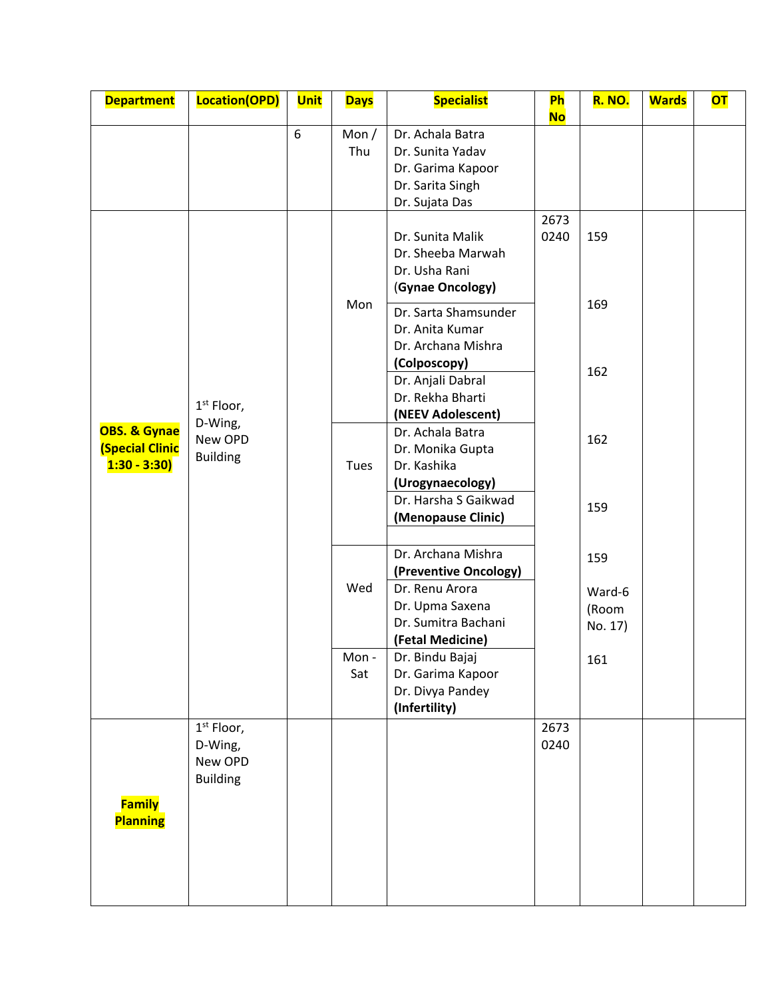| <b>Department</b>                                       | Location(OPD)                                         | <b>Unit</b> | <b>Days</b>    | <b>Specialist</b>                                                                                                                           | <b>Ph</b><br><b>No</b> | <b>R. NO.</b>                     | <b>Wards</b> | <b>OT</b> |
|---------------------------------------------------------|-------------------------------------------------------|-------------|----------------|---------------------------------------------------------------------------------------------------------------------------------------------|------------------------|-----------------------------------|--------------|-----------|
|                                                         |                                                       | 6           | Mon $/$<br>Thu | Dr. Achala Batra<br>Dr. Sunita Yadav<br>Dr. Garima Kapoor<br>Dr. Sarita Singh                                                               |                        |                                   |              |           |
| OBS. & Gynae<br><b>(Special Clinic</b><br>$1:30 - 3:30$ |                                                       |             |                | Dr. Sujata Das<br>Dr. Sunita Malik<br>Dr. Sheeba Marwah<br>Dr. Usha Rani<br>(Gynae Oncology)                                                | 2673<br>0240           | 159                               |              |           |
|                                                         | $1st$ Floor,                                          |             | Mon            | Dr. Sarta Shamsunder<br>Dr. Anita Kumar<br>Dr. Archana Mishra<br>(Colposcopy)<br>Dr. Anjali Dabral<br>Dr. Rekha Bharti<br>(NEEV Adolescent) |                        | 169<br>162                        |              |           |
|                                                         | D-Wing,<br>New OPD<br><b>Building</b>                 |             | Tues           | Dr. Achala Batra<br>Dr. Monika Gupta<br>Dr. Kashika<br>(Urogynaecology)<br>Dr. Harsha S Gaikwad<br>(Menopause Clinic)                       |                        | 162<br>159                        |              |           |
|                                                         |                                                       |             | Wed            | Dr. Archana Mishra<br>(Preventive Oncology)<br>Dr. Renu Arora<br>Dr. Upma Saxena<br>Dr. Sumitra Bachani<br>(Fetal Medicine)                 |                        | 159<br>Ward-6<br>(Room<br>No. 17) |              |           |
|                                                         |                                                       |             | Mon -<br>Sat   | Dr. Bindu Bajaj<br>Dr. Garima Kapoor<br>Dr. Divya Pandey<br>(Infertility)                                                                   |                        | 161                               |              |           |
|                                                         | $1st$ Floor,<br>D-Wing,<br>New OPD<br><b>Building</b> |             |                |                                                                                                                                             | 2673<br>0240           |                                   |              |           |
| <b>Family</b><br><b>Planning</b>                        |                                                       |             |                |                                                                                                                                             |                        |                                   |              |           |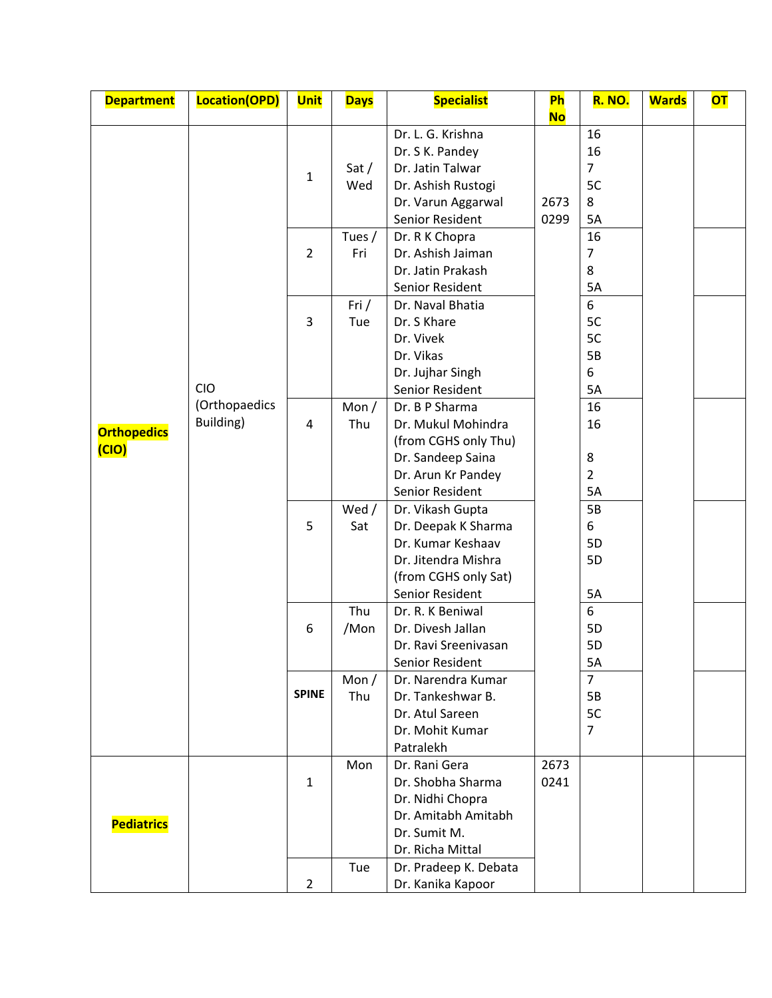| <b>Department</b>           | Location(OPD) | <b>Unit</b>    | <b>Days</b> | <b>Specialist</b>                        | Ph        | <b>R. NO.</b>  | <b>Wards</b> | <b>OT</b> |
|-----------------------------|---------------|----------------|-------------|------------------------------------------|-----------|----------------|--------------|-----------|
|                             |               |                |             |                                          | <b>No</b> |                |              |           |
| <b>Orthopedics</b><br>(CIO) |               |                |             | Dr. L. G. Krishna                        |           | 16             |              |           |
|                             |               |                |             | Dr. S K. Pandey                          |           | 16             |              |           |
|                             |               | $\mathbf{1}$   | Sat $/$     | Dr. Jatin Talwar                         |           | $\overline{7}$ |              |           |
|                             |               |                | Wed         | Dr. Ashish Rustogi                       |           | 5C             |              |           |
|                             |               |                |             | Dr. Varun Aggarwal                       | 2673      | 8              |              |           |
|                             |               |                |             | Senior Resident                          | 0299      | 5A             |              |           |
|                             |               |                | Tues /      | Dr. R K Chopra                           |           | 16             |              |           |
|                             |               | $\overline{2}$ | Fri         | Dr. Ashish Jaiman                        |           | $\overline{7}$ |              |           |
|                             |               |                |             | Dr. Jatin Prakash                        |           | 8              |              |           |
|                             |               |                |             | Senior Resident                          |           | 5A             |              |           |
|                             |               |                | Fri $/$     | Dr. Naval Bhatia                         |           | 6              |              |           |
|                             |               | 3              | Tue         | Dr. S Khare                              |           | 5C             |              |           |
|                             |               |                |             | Dr. Vivek                                |           | 5C             |              |           |
|                             |               |                |             | Dr. Vikas                                |           | 5B             |              |           |
|                             |               |                |             | Dr. Jujhar Singh                         |           | 6              |              |           |
|                             | CIO           |                |             | Senior Resident                          |           | 5A             |              |           |
|                             | (Orthopaedics |                | Mon $/$     | Dr. B P Sharma                           |           | 16             |              |           |
|                             | Building)     | 4              | Thu         | Dr. Mukul Mohindra                       |           | 16             |              |           |
|                             |               |                |             | (from CGHS only Thu)                     |           |                |              |           |
|                             |               |                |             | Dr. Sandeep Saina                        |           | 8              |              |           |
|                             |               |                |             | Dr. Arun Kr Pandey                       |           | $\overline{2}$ |              |           |
|                             |               |                |             | Senior Resident                          |           | 5A             |              |           |
|                             |               |                | Wed /       | Dr. Vikash Gupta                         |           | 5B             |              |           |
|                             |               | 5              | Sat         | Dr. Deepak K Sharma<br>Dr. Kumar Keshaav |           | 6<br>5D        |              |           |
|                             |               |                |             | Dr. Jitendra Mishra                      |           | 5D             |              |           |
|                             |               |                |             | (from CGHS only Sat)                     |           |                |              |           |
|                             |               |                |             | Senior Resident                          |           | 5A             |              |           |
|                             |               |                | Thu         | Dr. R. K Beniwal                         |           | 6              |              |           |
|                             |               | 6              | /Mon        | Dr. Divesh Jallan                        |           | 5D             |              |           |
|                             |               |                |             | Dr. Ravi Sreenivasan                     |           | 5D             |              |           |
|                             |               |                |             | Senior Resident                          |           | 5A             |              |           |
|                             |               |                | Mon $/$     | Dr. Narendra Kumar                       |           | $\overline{7}$ |              |           |
|                             |               | <b>SPINE</b>   | Thu         | Dr. Tankeshwar B.                        |           | 5B             |              |           |
|                             |               |                |             | Dr. Atul Sareen                          |           | 5C             |              |           |
|                             |               |                |             | Dr. Mohit Kumar                          |           | $\overline{7}$ |              |           |
|                             |               |                |             | Patralekh                                |           |                |              |           |
|                             |               |                | Mon         | Dr. Rani Gera                            | 2673      |                |              |           |
|                             |               | $\mathbf{1}$   |             | Dr. Shobha Sharma                        | 0241      |                |              |           |
|                             |               |                |             | Dr. Nidhi Chopra                         |           |                |              |           |
| <b>Pediatrics</b>           |               |                |             | Dr. Amitabh Amitabh                      |           |                |              |           |
|                             |               |                |             | Dr. Sumit M.                             |           |                |              |           |
|                             |               |                |             | Dr. Richa Mittal                         |           |                |              |           |
|                             |               |                | Tue         | Dr. Pradeep K. Debata                    |           |                |              |           |
|                             |               | $\overline{2}$ |             | Dr. Kanika Kapoor                        |           |                |              |           |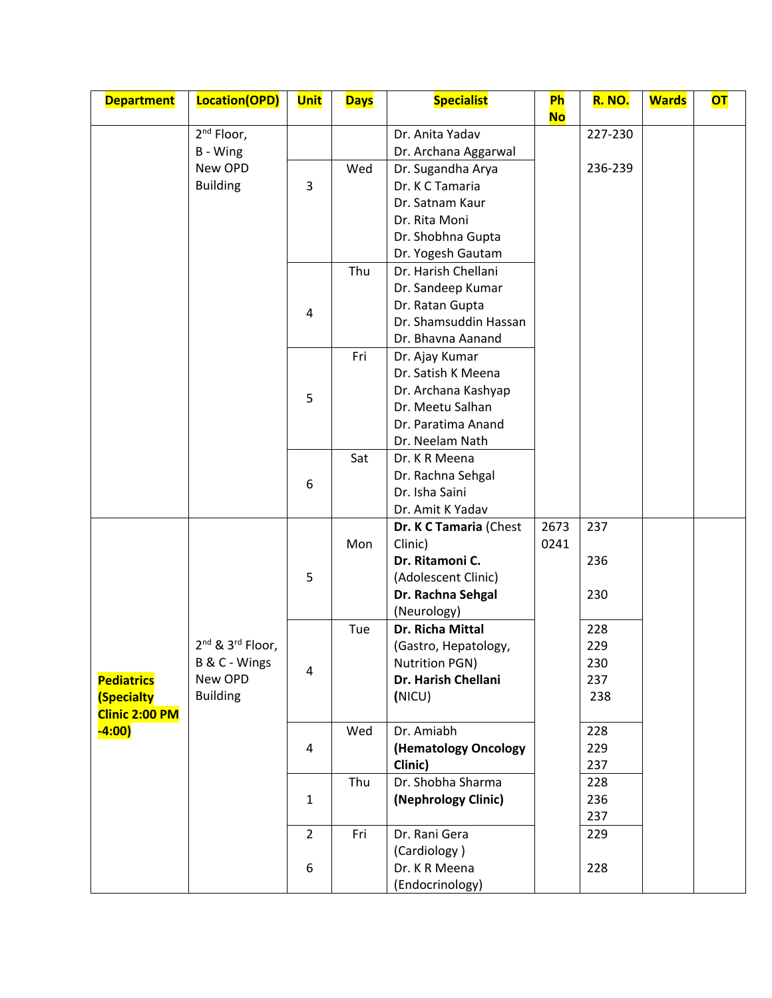| <b>Department</b>     | Location(OPD)                            | <b>Unit</b>    | <b>Days</b> | <b>Specialist</b>                    | <b>Ph</b> | <b>R. NO.</b> | <b>Wards</b> | <b>OT</b> |
|-----------------------|------------------------------------------|----------------|-------------|--------------------------------------|-----------|---------------|--------------|-----------|
|                       | $2nd$ Floor,                             |                |             | Dr. Anita Yadav                      | <b>No</b> | 227-230       |              |           |
|                       | B - Wing                                 |                |             | Dr. Archana Aggarwal                 |           |               |              |           |
|                       | New OPD                                  |                | Wed         | Dr. Sugandha Arya                    |           | 236-239       |              |           |
|                       | <b>Building</b>                          | 3              |             | Dr. K C Tamaria                      |           |               |              |           |
|                       |                                          |                |             | Dr. Satnam Kaur                      |           |               |              |           |
|                       |                                          |                |             | Dr. Rita Moni                        |           |               |              |           |
|                       |                                          |                |             | Dr. Shobhna Gupta                    |           |               |              |           |
|                       |                                          |                |             | Dr. Yogesh Gautam                    |           |               |              |           |
|                       |                                          |                | Thu         | Dr. Harish Chellani                  |           |               |              |           |
|                       |                                          |                |             | Dr. Sandeep Kumar                    |           |               |              |           |
|                       |                                          | 4              |             | Dr. Ratan Gupta                      |           |               |              |           |
|                       |                                          |                |             | Dr. Shamsuddin Hassan                |           |               |              |           |
|                       |                                          |                |             | Dr. Bhavna Aanand                    |           |               |              |           |
|                       |                                          |                | Fri         | Dr. Ajay Kumar<br>Dr. Satish K Meena |           |               |              |           |
|                       |                                          |                |             | Dr. Archana Kashyap                  |           |               |              |           |
|                       |                                          | 5              |             | Dr. Meetu Salhan                     |           |               |              |           |
|                       |                                          |                |             | Dr. Paratima Anand                   |           |               |              |           |
|                       |                                          |                |             | Dr. Neelam Nath                      |           |               |              |           |
|                       |                                          |                | Sat         | Dr. K R Meena                        |           |               |              |           |
|                       |                                          | 6              |             | Dr. Rachna Sehgal                    |           |               |              |           |
|                       |                                          |                |             | Dr. Isha Saini                       |           |               |              |           |
|                       |                                          |                |             | Dr. Amit K Yadav                     |           |               |              |           |
|                       |                                          |                |             | Dr. K C Tamaria (Chest               | 2673      | 237           |              |           |
|                       |                                          |                | Mon         | Clinic)                              | 0241      |               |              |           |
|                       |                                          |                |             | Dr. Ritamoni C.                      |           | 236           |              |           |
|                       |                                          | 5              |             | (Adolescent Clinic)                  |           |               |              |           |
|                       |                                          |                |             | Dr. Rachna Sehgal<br>(Neurology)     |           | 230           |              |           |
|                       |                                          |                | Tue         | Dr. Richa Mittal                     |           | 228           |              |           |
|                       | 2 <sup>nd</sup> & 3 <sup>rd</sup> Floor, |                |             | (Gastro, Hepatology,                 |           | 229           |              |           |
|                       | B & C - Wings                            |                |             | <b>Nutrition PGN)</b>                |           | 230           |              |           |
| <b>Pediatrics</b>     | New OPD                                  | 4              |             | Dr. Harish Chellani                  |           | 237           |              |           |
| <b>(Specialty</b>     | <b>Building</b>                          |                |             | (NICU)                               |           | 238           |              |           |
| <b>Clinic 2:00 PM</b> |                                          |                |             |                                      |           |               |              |           |
| $-4:00)$              |                                          |                | Wed         | Dr. Amiabh                           |           | 228           |              |           |
|                       |                                          | 4              |             | (Hematology Oncology                 |           | 229           |              |           |
|                       |                                          |                |             | Clinic)                              |           | 237           |              |           |
|                       |                                          |                | Thu         | Dr. Shobha Sharma                    |           | 228           |              |           |
|                       |                                          | $\mathbf{1}$   |             | (Nephrology Clinic)                  |           | 236           |              |           |
|                       |                                          | $\overline{2}$ | Fri         | Dr. Rani Gera                        |           | 237<br>229    |              |           |
|                       |                                          |                |             | (Cardiology)                         |           |               |              |           |
|                       |                                          | 6              |             | Dr. K R Meena                        |           | 228           |              |           |
|                       |                                          |                |             | (Endocrinology)                      |           |               |              |           |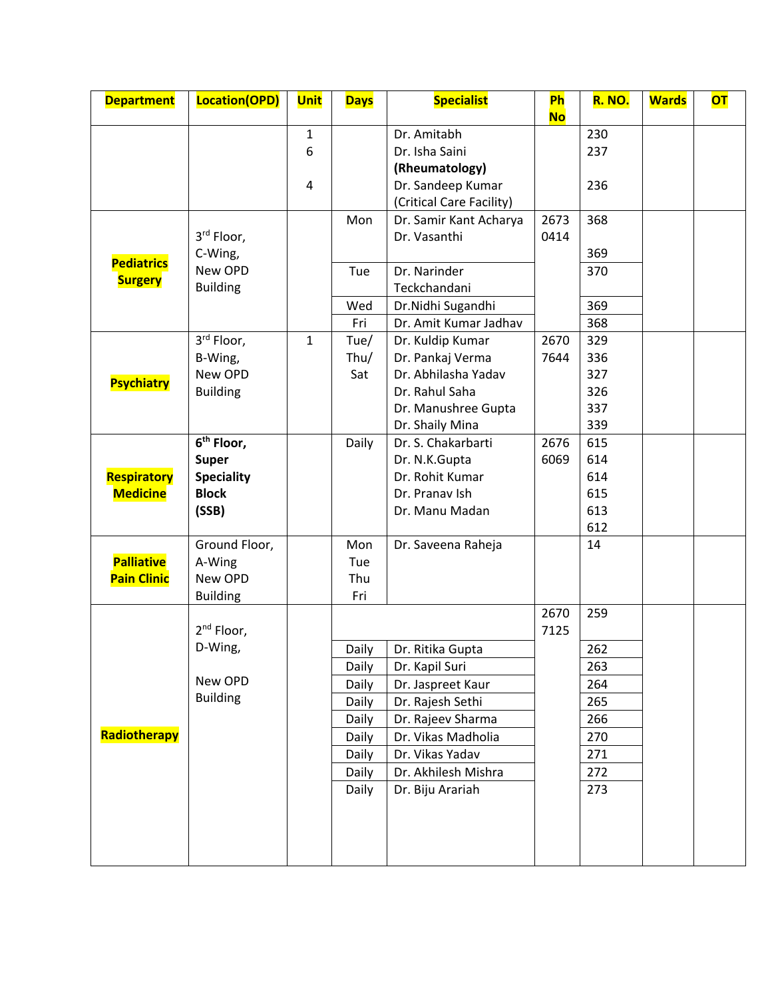| <b>Department</b>  | Location(OPD)          | <b>Unit</b>  | <b>Days</b> | <b>Specialist</b>        | <b>Ph</b><br><b>No</b> | <b>R. NO.</b> | <b>Wards</b> | <b>OT</b> |
|--------------------|------------------------|--------------|-------------|--------------------------|------------------------|---------------|--------------|-----------|
|                    |                        | $\mathbf 1$  |             | Dr. Amitabh              |                        | 230           |              |           |
|                    |                        | 6            |             | Dr. Isha Saini           |                        | 237           |              |           |
|                    |                        |              |             | (Rheumatology)           |                        |               |              |           |
|                    |                        | 4            |             | Dr. Sandeep Kumar        |                        | 236           |              |           |
|                    |                        |              |             | (Critical Care Facility) |                        |               |              |           |
|                    |                        |              | Mon         | Dr. Samir Kant Acharya   | 2673                   | 368           |              |           |
|                    | 3rd Floor,             |              |             | Dr. Vasanthi             | 0414                   |               |              |           |
|                    | C-Wing,                |              |             |                          |                        | 369           |              |           |
| <b>Pediatrics</b>  | New OPD                |              | Tue         | Dr. Narinder             |                        | 370           |              |           |
| <b>Surgery</b>     | <b>Building</b>        |              |             | Teckchandani             |                        |               |              |           |
|                    |                        |              | Wed         | Dr.Nidhi Sugandhi        |                        | 369           |              |           |
|                    |                        |              | Fri         | Dr. Amit Kumar Jadhav    |                        | 368           |              |           |
|                    | 3rd Floor,             | $\mathbf{1}$ | Tue/        | Dr. Kuldip Kumar         | 2670                   | 329           |              |           |
|                    | B-Wing,                |              | Thu/        | Dr. Pankaj Verma         | 7644                   | 336           |              |           |
| <b>Psychiatry</b>  | New OPD                |              | Sat         | Dr. Abhilasha Yadav      |                        | 327           |              |           |
|                    | <b>Building</b>        |              |             | Dr. Rahul Saha           |                        | 326           |              |           |
|                    |                        |              |             | Dr. Manushree Gupta      |                        | 337           |              |           |
|                    |                        |              |             | Dr. Shaily Mina          |                        | 339           |              |           |
|                    | 6 <sup>th</sup> Floor, |              | Daily       | Dr. S. Chakarbarti       | 2676                   | 615           |              |           |
|                    | <b>Super</b>           |              |             | Dr. N.K.Gupta            | 6069                   | 614           |              |           |
| Respiratory        | <b>Speciality</b>      |              |             | Dr. Rohit Kumar          |                        | 614           |              |           |
| <b>Medicine</b>    | <b>Block</b>           |              |             | Dr. Pranav Ish           |                        | 615           |              |           |
|                    | (SSB)                  |              |             | Dr. Manu Madan           |                        | 613           |              |           |
|                    |                        |              |             |                          |                        | 612           |              |           |
|                    | Ground Floor,          |              | Mon         | Dr. Saveena Raheja       |                        | 14            |              |           |
| <b>Palliative</b>  | A-Wing                 |              | Tue         |                          |                        |               |              |           |
| <b>Pain Clinic</b> | New OPD                |              | Thu         |                          |                        |               |              |           |
|                    | <b>Building</b>        |              | Fri         |                          |                        |               |              |           |
|                    |                        |              |             |                          | 2670                   | 259           |              |           |
|                    | 2 <sup>nd</sup> Floor, |              |             |                          | 7125                   |               |              |           |
|                    | D-Wing,                |              | Daily       | Dr. Ritika Gupta         |                        | 262           |              |           |
|                    | New OPD                |              | Daily       | Dr. Kapil Suri           |                        | 263           |              |           |
|                    | <b>Building</b>        |              | Daily       | Dr. Jaspreet Kaur        |                        | 264           |              |           |
|                    |                        |              | Daily       | Dr. Rajesh Sethi         |                        | 265           |              |           |
|                    |                        |              | Daily       | Dr. Rajeev Sharma        |                        | 266           |              |           |
| Radiotherapy       |                        |              | Daily       | Dr. Vikas Madholia       |                        | 270           |              |           |
|                    |                        |              | Daily       | Dr. Vikas Yadav          |                        | 271           |              |           |
|                    |                        |              | Daily       | Dr. Akhilesh Mishra      |                        | 272           |              |           |
|                    |                        |              | Daily       | Dr. Biju Arariah         |                        | 273           |              |           |
|                    |                        |              |             |                          |                        |               |              |           |
|                    |                        |              |             |                          |                        |               |              |           |
|                    |                        |              |             |                          |                        |               |              |           |
|                    |                        |              |             |                          |                        |               |              |           |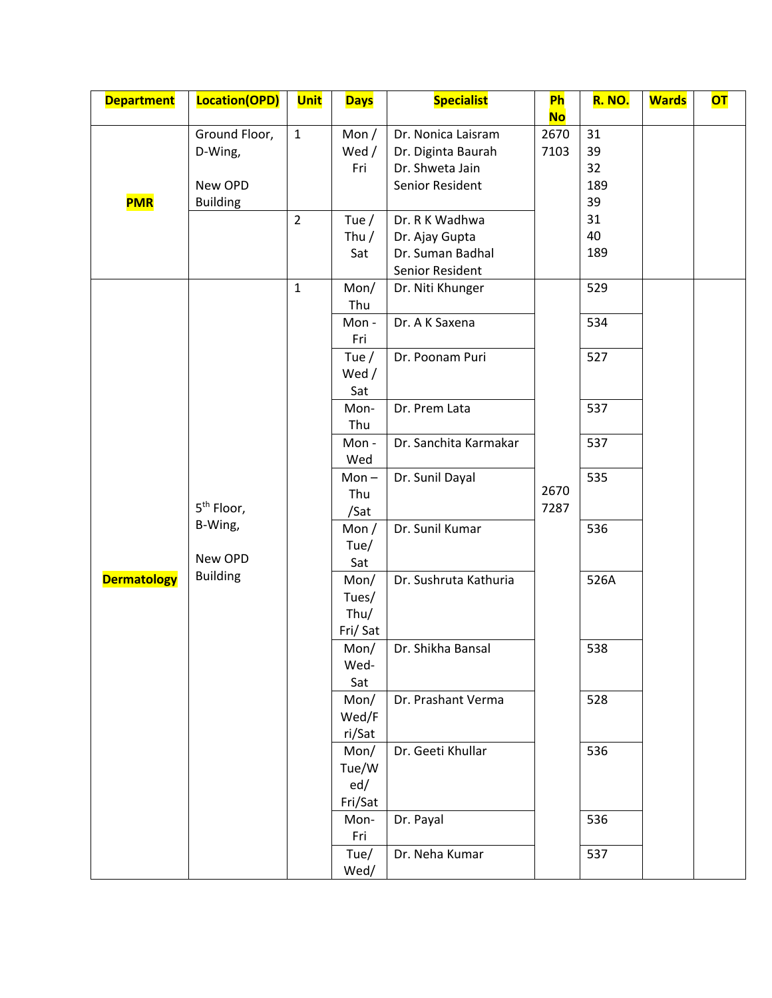| <b>Department</b>  | Location(OPD)            | <b>Unit</b>    | <b>Days</b>      | <b>Specialist</b>                     | <b>Ph</b>    | <b>R. NO.</b> | <b>Wards</b> | <b>OT</b> |
|--------------------|--------------------------|----------------|------------------|---------------------------------------|--------------|---------------|--------------|-----------|
|                    |                          | $\mathbf{1}$   |                  |                                       | <b>No</b>    | 31            |              |           |
|                    | Ground Floor,<br>D-Wing, |                | Mon $/$<br>Wed / | Dr. Nonica Laisram                    | 2670<br>7103 | 39            |              |           |
|                    |                          |                | Fri              | Dr. Diginta Baurah<br>Dr. Shweta Jain |              | 32            |              |           |
|                    | New OPD                  |                |                  | Senior Resident                       |              | 189           |              |           |
| <b>PMR</b>         | <b>Building</b>          |                |                  |                                       |              | 39            |              |           |
|                    |                          | $\overline{2}$ | Tue $/$          | Dr. R K Wadhwa                        |              | 31            |              |           |
|                    |                          |                | Thu $/$          | Dr. Ajay Gupta                        |              | 40            |              |           |
|                    |                          |                | Sat              | Dr. Suman Badhal                      |              | 189           |              |           |
|                    |                          |                |                  | Senior Resident                       |              |               |              |           |
|                    |                          | $\mathbf{1}$   | Mon/             | Dr. Niti Khunger                      |              | 529           |              |           |
|                    |                          |                | Thu              |                                       |              |               |              |           |
|                    |                          |                | Mon-             | Dr. A K Saxena                        |              | 534           |              |           |
|                    |                          |                | Fri              |                                       |              |               |              |           |
|                    |                          |                | Tue $/$          | Dr. Poonam Puri                       |              | 527           |              |           |
|                    |                          |                | Wed /            |                                       |              |               |              |           |
|                    |                          |                | Sat              |                                       |              |               |              |           |
|                    |                          |                | Mon-             | Dr. Prem Lata                         |              | 537           |              |           |
|                    |                          |                | Thu              |                                       |              |               |              |           |
|                    |                          |                | Mon-             | Dr. Sanchita Karmakar                 |              | 537           |              |           |
|                    |                          |                | Wed              |                                       |              |               |              |           |
|                    |                          |                | $Mon -$          | Dr. Sunil Dayal                       |              | 535           |              |           |
|                    |                          |                | Thu              |                                       | 2670         |               |              |           |
|                    | 5 <sup>th</sup> Floor,   |                | /Sat             |                                       | 7287         |               |              |           |
|                    | B-Wing,                  |                | Mon $/$          | Dr. Sunil Kumar                       |              | 536           |              |           |
|                    |                          |                | Tue/             |                                       |              |               |              |           |
|                    | New OPD                  |                | Sat              |                                       |              |               |              |           |
| <b>Dermatology</b> | <b>Building</b>          |                | Mon/             | Dr. Sushruta Kathuria                 |              | 526A          |              |           |
|                    |                          |                | Tues/            |                                       |              |               |              |           |
|                    |                          |                | Thu/             |                                       |              |               |              |           |
|                    |                          |                | Fri/Sat          |                                       |              |               |              |           |
|                    |                          |                | Mon/             | Dr. Shikha Bansal                     |              | 538           |              |           |
|                    |                          |                | Wed-             |                                       |              |               |              |           |
|                    |                          |                | Sat              |                                       |              |               |              |           |
|                    |                          |                | Mon/             | Dr. Prashant Verma                    |              | 528           |              |           |
|                    |                          |                | Wed/F            |                                       |              |               |              |           |
|                    |                          |                | ri/Sat           |                                       |              |               |              |           |
|                    |                          |                | Mon/             | Dr. Geeti Khullar                     |              | 536           |              |           |
|                    |                          |                | Tue/W            |                                       |              |               |              |           |
|                    |                          |                | ed/              |                                       |              |               |              |           |
|                    |                          |                | Fri/Sat          |                                       |              |               |              |           |
|                    |                          |                | Mon-             | Dr. Payal                             |              | 536           |              |           |
|                    |                          |                | Fri              |                                       |              |               |              |           |
|                    |                          |                | Tue/             | Dr. Neha Kumar                        |              | 537           |              |           |
|                    |                          |                | Wed/             |                                       |              |               |              |           |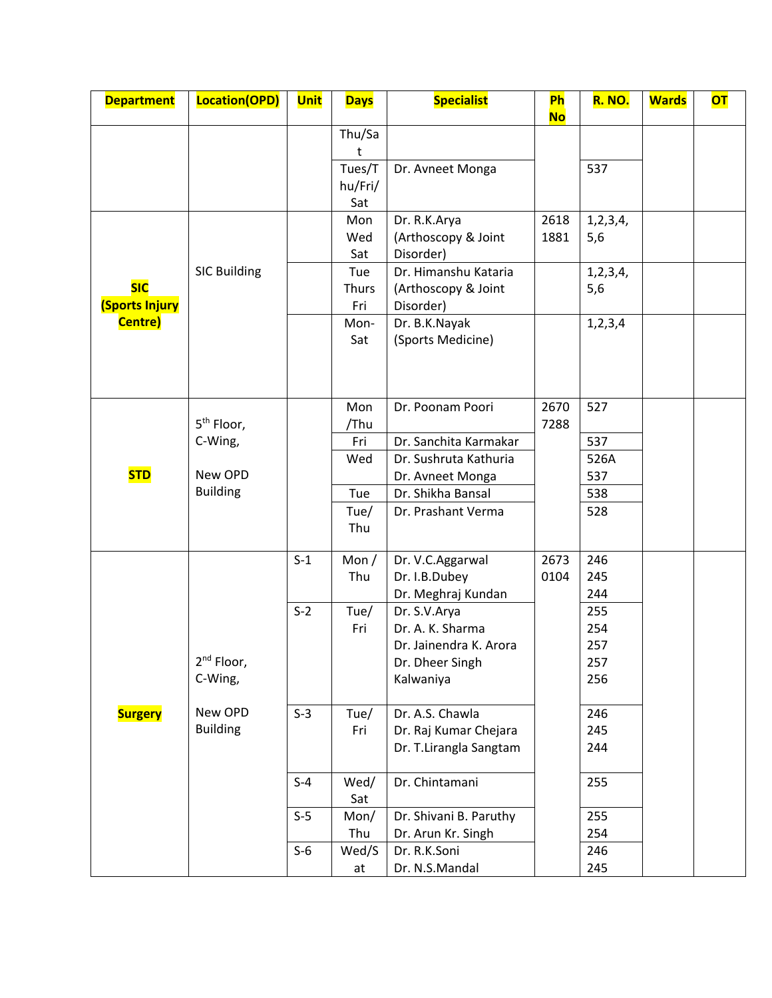| <b>Department</b>                   | Location(OPD)              | <b>Unit</b> | <b>Days</b>              | <b>Specialist</b>                                                             | Ph<br><b>No</b> | <b>R. NO.</b>            | <b>Wards</b> | <b>OT</b> |
|-------------------------------------|----------------------------|-------------|--------------------------|-------------------------------------------------------------------------------|-----------------|--------------------------|--------------|-----------|
|                                     |                            |             | Thu/Sa<br>t              |                                                                               |                 |                          |              |           |
|                                     |                            |             | Tues/T<br>hu/Fri/<br>Sat | Dr. Avneet Monga                                                              |                 | 537                      |              |           |
|                                     |                            |             | Mon<br>Wed<br>Sat        | Dr. R.K.Arya<br>(Arthoscopy & Joint<br>Disorder)                              | 2618<br>1881    | 1, 2, 3, 4,<br>5,6       |              |           |
| <b>SIC</b><br><b>(Sports Injury</b> | <b>SIC Building</b>        |             | Tue<br>Thurs<br>Fri      | Dr. Himanshu Kataria<br>(Arthoscopy & Joint<br>Disorder)                      |                 | 1, 2, 3, 4,<br>5,6       |              |           |
| Centre)                             |                            |             | Mon-<br>Sat              | Dr. B.K.Nayak<br>(Sports Medicine)                                            |                 | 1, 2, 3, 4               |              |           |
|                                     | 5 <sup>th</sup> Floor,     |             | Mon<br>/Thu              | Dr. Poonam Poori                                                              | 2670<br>7288    | 527                      |              |           |
|                                     | C-Wing,                    |             | Fri<br>Wed               | Dr. Sanchita Karmakar<br>Dr. Sushruta Kathuria                                |                 | 537<br>526A              |              |           |
| <b>STD</b>                          | New OPD<br><b>Building</b> |             | Tue<br>Tue/              | Dr. Avneet Monga<br>Dr. Shikha Bansal<br>Dr. Prashant Verma                   |                 | 537<br>538<br>528        |              |           |
|                                     |                            |             | Thu                      |                                                                               |                 |                          |              |           |
|                                     |                            | $S-1$       | Mon $/$<br>Thu           | Dr. V.C.Aggarwal<br>Dr. I.B.Dubey<br>Dr. Meghraj Kundan                       | 2673<br>0104    | 246<br>245<br>244        |              |           |
|                                     | 2 <sup>nd</sup> Floor,     | $S-2$       | Tue/<br>Fri              | Dr. S.V.Arya<br>Dr. A. K. Sharma<br>Dr. Jainendra K. Arora<br>Dr. Dheer Singh |                 | 255<br>254<br>257<br>257 |              |           |
| <b>Surgery</b>                      | C-Wing,<br>New OPD         | $S-3$       | Tue/                     | Kalwaniya<br>Dr. A.S. Chawla                                                  |                 | 256<br>246               |              |           |
|                                     | <b>Building</b>            |             | Fri                      | Dr. Raj Kumar Chejara<br>Dr. T.Lirangla Sangtam                               |                 | 245<br>244               |              |           |
|                                     |                            | $S-4$       | Wed/<br>Sat              | Dr. Chintamani                                                                |                 | 255                      |              |           |
|                                     |                            | $S-5$       | Mon/<br>Thu              | Dr. Shivani B. Paruthy<br>Dr. Arun Kr. Singh                                  |                 | 255<br>254               |              |           |
|                                     |                            | $S-6$       | Wed/S<br>at              | Dr. R.K.Soni<br>Dr. N.S.Mandal                                                |                 | 246<br>245               |              |           |